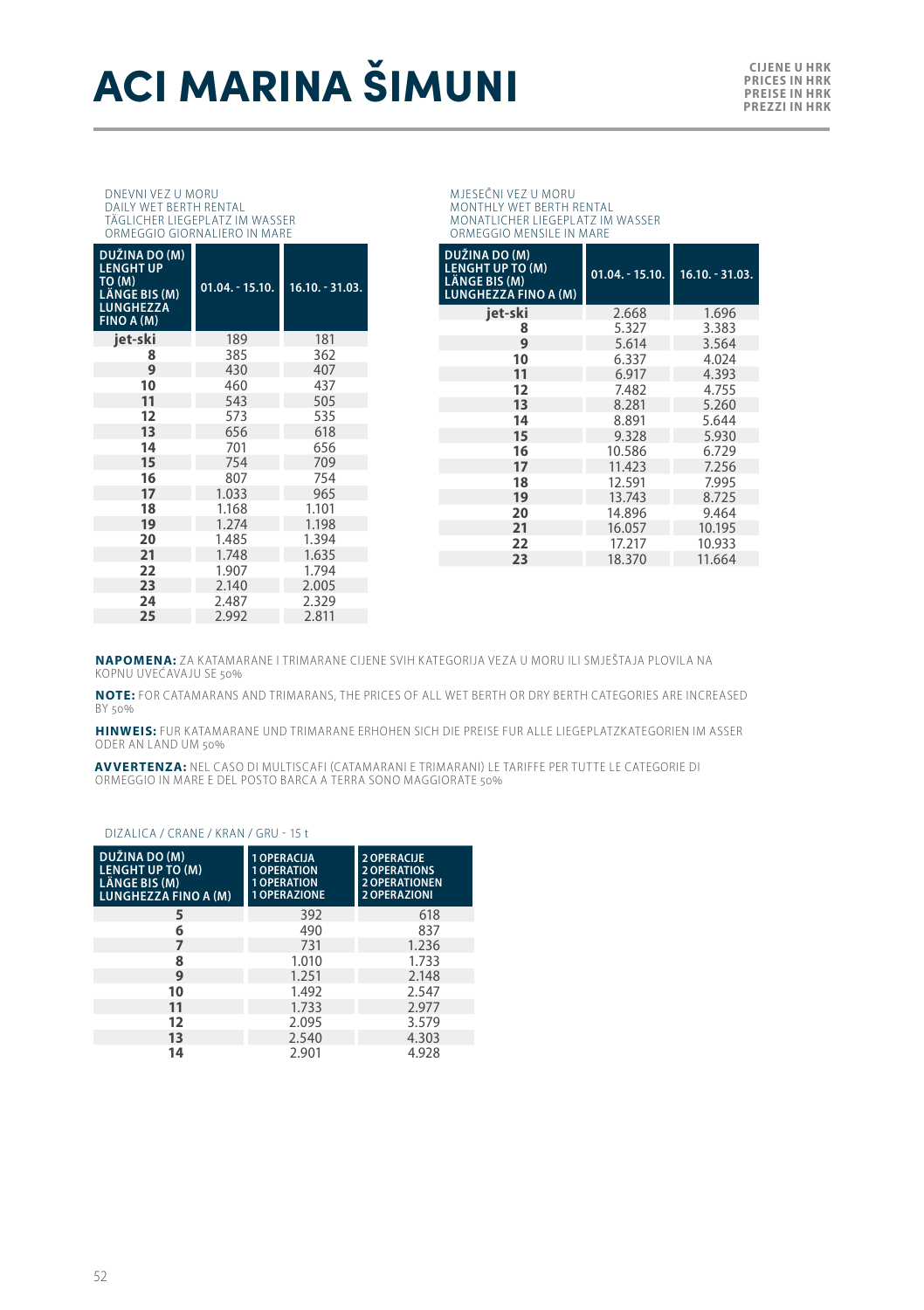# **ACI MARINA ŠIMUNI** *E DERE U HRKES* **NARRINA**

# DNEVNI VEZ U MORU DAILY WET BERTH RENTAL TÄGLICHER LIEGEPLATZ IM WASSER ORMEGGIO GIORNALIERO IN MARE

| DUŽINA DO (M)<br><b>LENGHT UP</b><br>TO (M)<br>LÄNGE BIS (M)<br><b>LUNGHEZZA</b><br>FINO A (M) | $01.04 - 15.10.$ | $16.10 - 31.03$ . |
|------------------------------------------------------------------------------------------------|------------------|-------------------|
| jet-ski                                                                                        | 189              | 181               |
| 8                                                                                              | 385              | 362               |
| 9                                                                                              | 430              | 407               |
| 10                                                                                             | 460              | 437               |
| 11                                                                                             | 543              | 505               |
| 12                                                                                             | 573              | 535               |
| 13                                                                                             | 656              | 618               |
| 14                                                                                             | 701              | 656               |
| 15                                                                                             | 754              | 709               |
| 16                                                                                             | 807              | 754               |
| 17                                                                                             | 1.033            | 965               |
| 18                                                                                             | 1.168            | 1.101             |
| 19                                                                                             | 1.274            | 1.198             |
| 20                                                                                             | 1.485            | 1.394             |
| 21                                                                                             | 1.748            | 1.635             |
| 22                                                                                             | 1.907            | 1.794             |
| 23                                                                                             | 2.140            | 2.005             |
| 24                                                                                             | 2.487            | 2,329             |
| 25                                                                                             | 2.992            | 2.811             |

MJESEČNI VEZ U MORU MONTHLY WET BERTH RENTAL MONATLICHER LIEGEPLATZ IM WASSER ORMEGGIO MENSILE IN MARE

| DUŽINA DO (M)<br><b>LENGHT UP TO (M)</b><br>LÄNGE BIS (M)<br><b>LUNGHEZZA FINO A (M)</b> | $01.04 - 15.10.$ | 16.10. - 31.03. |
|------------------------------------------------------------------------------------------|------------------|-----------------|
| iet-ski                                                                                  | 2.668            | 1.696           |
| 8                                                                                        | 5.327            | 3.383           |
| 9                                                                                        | 5.614            | 3.564           |
| 10                                                                                       | 6.337            | 4.024           |
| 11                                                                                       | 6.917            | 4.393           |
| 12                                                                                       | 7.482            | 4.755           |
| 13                                                                                       | 8.281            | 5.260           |
| 14                                                                                       | 8.891            | 5.644           |
| 15                                                                                       | 9.328            | 5.930           |
| 16                                                                                       | 10.586           | 6.729           |
| 17                                                                                       | 11.423           | 7.256           |
| 18                                                                                       | 12.591           | 7.995           |
| 19                                                                                       | 13.743           | 8.725           |
| 20                                                                                       | 14.896           | 9.464           |
| 21                                                                                       | 16.057           | 10.195          |
| 22                                                                                       | 17.217           | 10.933          |
| 23                                                                                       | 18.370           | 11.664          |
|                                                                                          |                  |                 |

**NAPOMENA:** ZA KATAMARANE I TRIMARANE CIJENE SVIH KATEGORIJA VEZA U MORU ILI SMJEŠTAJA PLOVILA NA KOPNU UVEĆAVAJU SE 50%

**NOTE:** FOR CATAMARANS AND TRIMARANS, THE PRICES OF ALL WET BERTH OR DRY BERTH CATEGORIES ARE INCREASED BY 50%

**HINWEIS:** FUR KATAMARANE UND TRIMARANE ERHOHEN SICH DIE PREISE FUR ALLE LIEGEPLATZKATEGORIEN IM ASSER ODER AN LAND UM 50%

**AVVERTENZA:** NEL CASO DI MULTISCAFI (CATAMARANI E TRIMARANI) LE TARIFFE PER TUTTE LE CATEGORIE DI<br>ORMEGGIO IN MARE E DEL POSTO BARCA A TERRA SONO MAGGIORATE 50%

#### DIZALICA / CRANE / KRAN / GRU - 15 t

| DUŽINA DO (M)<br><b>LENGHT UP TO (M)</b><br><b>LÄNGE BIS (M)</b><br>LUNGHEZZA FINO A (M) | 1 OPERACUA<br><b>1 OPERATION</b><br><b>1 OPERATION</b><br>1 OPERAZIONE | 2 OPERACUE<br><b>2 OPERATIONS</b><br><b>2 OPERATIONEN</b><br>2 OPERAZIONI |
|------------------------------------------------------------------------------------------|------------------------------------------------------------------------|---------------------------------------------------------------------------|
| 5                                                                                        | 392                                                                    | 618                                                                       |
| 6                                                                                        | 490                                                                    | 837                                                                       |
| 7                                                                                        | 731                                                                    | 1.236                                                                     |
| 8                                                                                        | 1.010                                                                  | 1.733                                                                     |
| 9                                                                                        | 1.251                                                                  | 2.148                                                                     |
| 10                                                                                       | 1.492                                                                  | 2.547                                                                     |
| 11                                                                                       | 1.733                                                                  | 2.977                                                                     |
| 12                                                                                       | 2.095                                                                  | 3.579                                                                     |
| 13                                                                                       | 2.540                                                                  | 4.303                                                                     |
| 14                                                                                       | 2.901                                                                  | 4.928                                                                     |